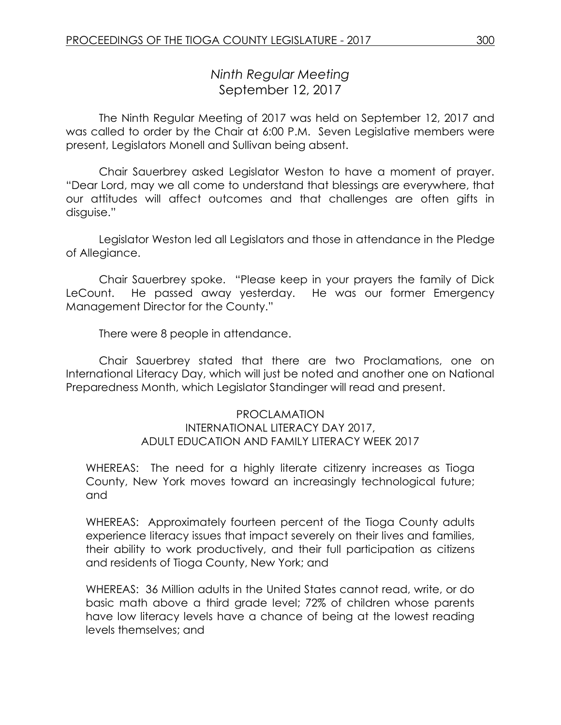# *Ninth Regular Meeting* September 12, 2017

The Ninth Regular Meeting of 2017 was held on September 12, 2017 and was called to order by the Chair at 6:00 P.M. Seven Legislative members were present, Legislators Monell and Sullivan being absent.

Chair Sauerbrey asked Legislator Weston to have a moment of prayer. "Dear Lord, may we all come to understand that blessings are everywhere, that our attitudes will affect outcomes and that challenges are often gifts in disguise."

Legislator Weston led all Legislators and those in attendance in the Pledge of Allegiance.

Chair Sauerbrey spoke. "Please keep in your prayers the family of Dick LeCount. He passed away yesterday. He was our former Emergency Management Director for the County."

There were 8 people in attendance.

Chair Sauerbrey stated that there are two Proclamations, one on International Literacy Day, which will just be noted and another one on National Preparedness Month, which Legislator Standinger will read and present.

#### PROCLAMATION INTERNATIONAL LITERACY DAY 2017, ADULT EDUCATION AND FAMILY LITERACY WEEK 2017

WHEREAS: The need for a highly literate citizenry increases as Tioga County, New York moves toward an increasingly technological future; and

WHEREAS: Approximately fourteen percent of the Tioga County adults experience literacy issues that impact severely on their lives and families, their ability to work productively, and their full participation as citizens and residents of Tioga County, New York; and

WHEREAS: 36 Million adults in the United States cannot read, write, or do basic math above a third grade level; 72% of children whose parents have low literacy levels have a chance of being at the lowest reading levels themselves; and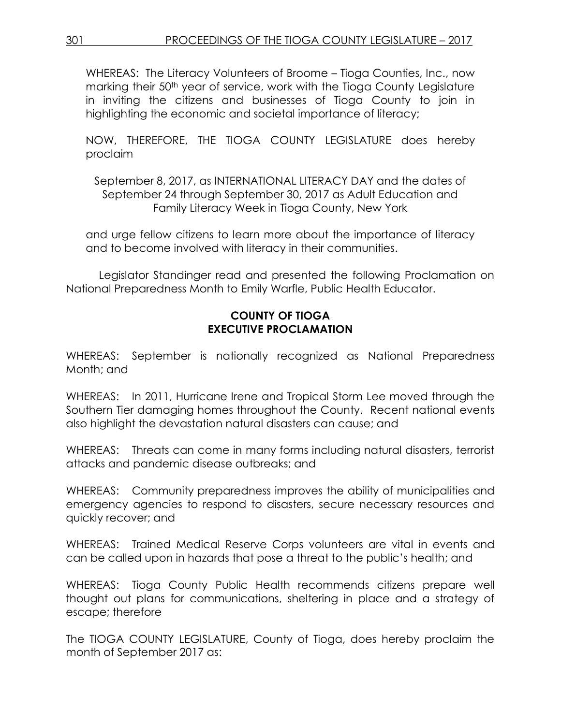WHEREAS: The Literacy Volunteers of Broome – Tioga Counties, Inc., now marking their 50<sup>th</sup> year of service, work with the Tioga County Legislature in inviting the citizens and businesses of Tioga County to join in highlighting the economic and societal importance of literacy;

NOW, THEREFORE, THE TIOGA COUNTY LEGISLATURE does hereby proclaim

September 8, 2017, as INTERNATIONAL LITERACY DAY and the dates of September 24 through September 30, 2017 as Adult Education and Family Literacy Week in Tioga County, New York

and urge fellow citizens to learn more about the importance of literacy and to become involved with literacy in their communities.

Legislator Standinger read and presented the following Proclamation on National Preparedness Month to Emily Warfle, Public Health Educator.

#### **COUNTY OF TIOGA EXECUTIVE PROCLAMATION**

WHEREAS: September is nationally recognized as National Preparedness Month; and

WHEREAS: In 2011, Hurricane Irene and Tropical Storm Lee moved through the Southern Tier damaging homes throughout the County. Recent national events also highlight the devastation natural disasters can cause; and

WHEREAS: Threats can come in many forms including natural disasters, terrorist attacks and pandemic disease outbreaks; and

WHEREAS: Community preparedness improves the ability of municipalities and emergency agencies to respond to disasters, secure necessary resources and quickly recover; and

WHEREAS: Trained Medical Reserve Corps volunteers are vital in events and can be called upon in hazards that pose a threat to the public's health; and

WHEREAS: Tioga County Public Health recommends citizens prepare well thought out plans for communications, sheltering in place and a strategy of escape; therefore

The TIOGA COUNTY LEGISLATURE, County of Tioga, does hereby proclaim the month of September 2017 as: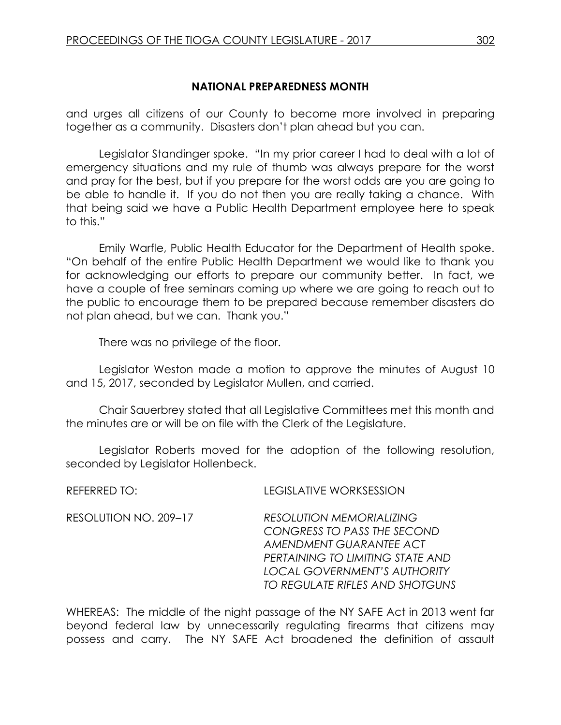## **NATIONAL PREPAREDNESS MONTH**

and urges all citizens of our County to become more involved in preparing together as a community. Disasters don't plan ahead but you can.

Legislator Standinger spoke. "In my prior career I had to deal with a lot of emergency situations and my rule of thumb was always prepare for the worst and pray for the best, but if you prepare for the worst odds are you are going to be able to handle it. If you do not then you are really taking a chance. With that being said we have a Public Health Department employee here to speak to this."

Emily Warfle, Public Health Educator for the Department of Health spoke. "On behalf of the entire Public Health Department we would like to thank you for acknowledging our efforts to prepare our community better. In fact, we have a couple of free seminars coming up where we are going to reach out to the public to encourage them to be prepared because remember disasters do not plan ahead, but we can. Thank you."

There was no privilege of the floor.

Legislator Weston made a motion to approve the minutes of August 10 and 15, 2017, seconded by Legislator Mullen, and carried.

Chair Sauerbrey stated that all Legislative Committees met this month and the minutes are or will be on file with the Clerk of the Legislature.

Legislator Roberts moved for the adoption of the following resolution, seconded by Legislator Hollenbeck.

| REFERRED TO:          | <b>LEGISLATIVE WORKSESSION</b>                                                                                                                                                                          |
|-----------------------|---------------------------------------------------------------------------------------------------------------------------------------------------------------------------------------------------------|
| RESOLUTION NO. 209–17 | <b>RESOLUTION MEMORIALIZING</b><br>CONGRESS TO PASS THE SECOND<br>AMENDMENT GUARANTEE ACT<br>PERTAINING TO LIMITING STATE AND<br><b>LOCAL GOVERNMENT'S AUTHORITY</b><br>TO REGULATE RIFLES AND SHOTGUNS |
|                       |                                                                                                                                                                                                         |

WHEREAS: The middle of the night passage of the NY SAFE Act in 2013 went far beyond federal law by unnecessarily regulating firearms that citizens may possess and carry. The NY SAFE Act broadened the definition of assault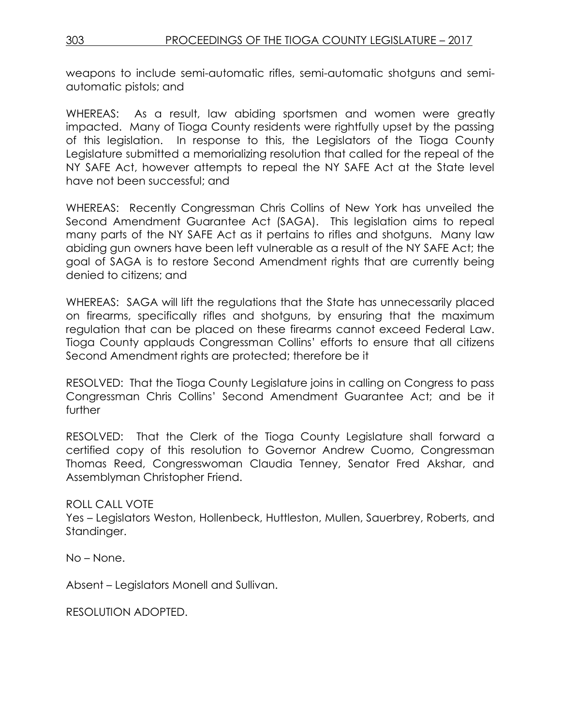weapons to include semi-automatic rifles, semi-automatic shotguns and semiautomatic pistols; and

WHEREAS: As a result, law abiding sportsmen and women were greatly impacted. Many of Tioga County residents were rightfully upset by the passing of this legislation. In response to this, the Legislators of the Tioga County Legislature submitted a memorializing resolution that called for the repeal of the NY SAFE Act, however attempts to repeal the NY SAFE Act at the State level have not been successful; and

WHEREAS: Recently Congressman Chris Collins of New York has unveiled the Second Amendment Guarantee Act (SAGA). This legislation aims to repeal many parts of the NY SAFE Act as it pertains to rifles and shotguns. Many law abiding gun owners have been left vulnerable as a result of the NY SAFE Act; the goal of SAGA is to restore Second Amendment rights that are currently being denied to citizens; and

WHEREAS: SAGA will lift the regulations that the State has unnecessarily placed on firearms, specifically rifles and shotguns, by ensuring that the maximum regulation that can be placed on these firearms cannot exceed Federal Law. Tioga County applauds Congressman Collins' efforts to ensure that all citizens Second Amendment rights are protected; therefore be it

RESOLVED: That the Tioga County Legislature joins in calling on Congress to pass Congressman Chris Collins' Second Amendment Guarantee Act; and be it further

RESOLVED: That the Clerk of the Tioga County Legislature shall forward a certified copy of this resolution to Governor Andrew Cuomo, Congressman Thomas Reed, Congresswoman Claudia Tenney, Senator Fred Akshar, and Assemblyman Christopher Friend.

ROLL CALL VOTE

Yes – Legislators Weston, Hollenbeck, Huttleston, Mullen, Sauerbrey, Roberts, and Standinger.

No – None.

Absent – Legislators Monell and Sullivan.

RESOLUTION ADOPTED.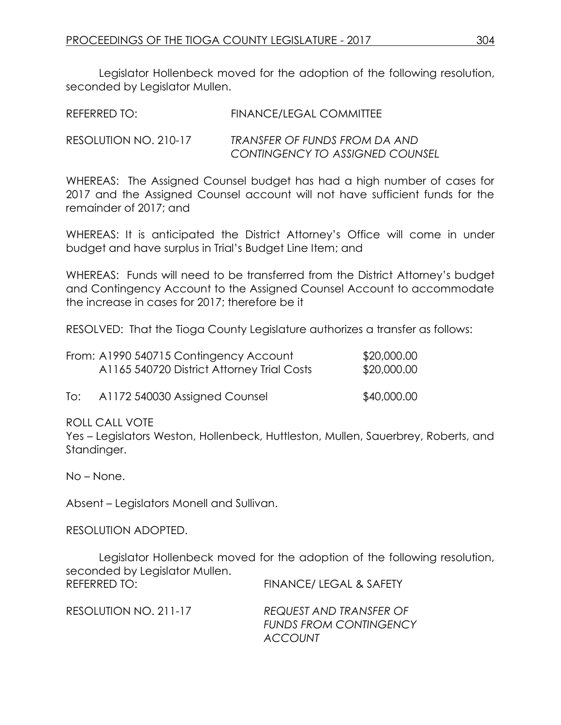Legislator Hollenbeck moved for the adoption of the following resolution, seconded by Legislator Mullen.

| REFERRED TO:          | FINANCE/LEGAL COMMITTEE                                          |
|-----------------------|------------------------------------------------------------------|
| RESOLUTION NO. 210-17 | TRANSFER OF FUNDS FROM DA AND<br>CONTINGENCY TO ASSIGNED COUNSEL |

WHEREAS: The Assigned Counsel budget has had a high number of cases for 2017 and the Assigned Counsel account will not have sufficient funds for the remainder of 2017; and

WHEREAS: It is anticipated the District Attorney's Office will come in under budget and have surplus in Trial's Budget Line Item; and

WHEREAS: Funds will need to be transferred from the District Attorney's budget and Contingency Account to the Assigned Counsel Account to accommodate the increase in cases for 2017; therefore be it

RESOLVED: That the Tioga County Legislature authorizes a transfer as follows:

| From: A1990 540715 Contingency Account     | \$20,000.00 |
|--------------------------------------------|-------------|
| A1165 540720 District Attorney Trial Costs | \$20,000.00 |

To: A1172 540030 Assigned Counsel \$40,000.00

#### ROLL CALL VOTE

Yes – Legislators Weston, Hollenbeck, Huttleston, Mullen, Sauerbrey, Roberts, and Standinger.

No – None.

Absent – Legislators Monell and Sullivan.

RESOLUTION ADOPTED.

Legislator Hollenbeck moved for the adoption of the following resolution, seconded by Legislator Mullen. REFERRED TO: FINANCE/ LEGAL & SAFETY

| RESOLUTION NO. 211-17 | REQUEST AND TRANSFER OF       |
|-----------------------|-------------------------------|
|                       | <b>FUNDS FROM CONTINGENCY</b> |
|                       | <b>ACCOUNT</b>                |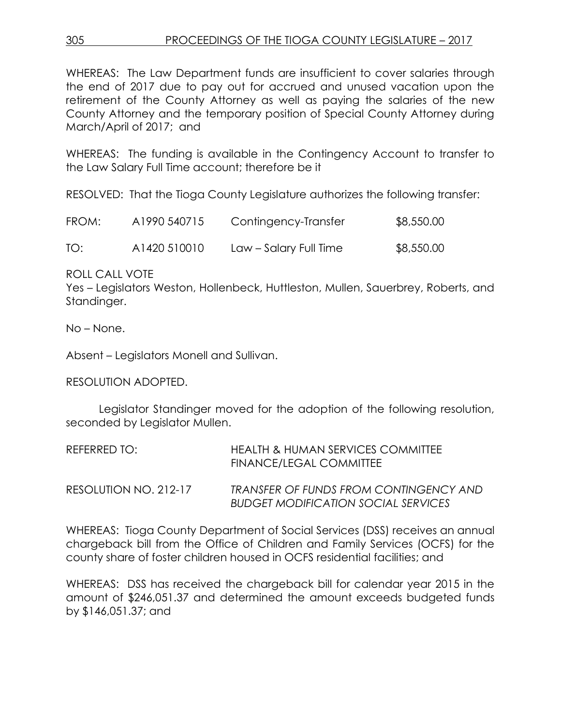WHEREAS: The Law Department funds are insufficient to cover salaries through the end of 2017 due to pay out for accrued and unused vacation upon the retirement of the County Attorney as well as paying the salaries of the new County Attorney and the temporary position of Special County Attorney during March/April of 2017; and

WHEREAS: The funding is available in the Contingency Account to transfer to the Law Salary Full Time account; therefore be it

RESOLVED: That the Tioga County Legislature authorizes the following transfer:

| FROM: | A1990 540715 | Contingency-Transfer   | \$8,550.00 |
|-------|--------------|------------------------|------------|
| TO:   | A1420 510010 | Law – Salary Full Time | \$8,550.00 |

ROLL CALL VOTE

Yes – Legislators Weston, Hollenbeck, Huttleston, Mullen, Sauerbrey, Roberts, and Standinger.

No – None.

Absent – Legislators Monell and Sullivan.

RESOLUTION ADOPTED.

Legislator Standinger moved for the adoption of the following resolution, seconded by Legislator Mullen.

| REFERRED TO:          | HEALTH & HUMAN SERVICES COMMITTEE<br>FINANCE/LEGAL COMMITTEE                                |
|-----------------------|---------------------------------------------------------------------------------------------|
| RESOLUTION NO. 212-17 | <b>TRANSFER OF FUNDS FROM CONTINGENCY AND</b><br><b>BUDGET MODIFICATION SOCIAL SERVICES</b> |

WHEREAS: Tioga County Department of Social Services (DSS) receives an annual chargeback bill from the Office of Children and Family Services (OCFS) for the county share of foster children housed in OCFS residential facilities; and

WHEREAS: DSS has received the chargeback bill for calendar year 2015 in the amount of \$246,051.37 and determined the amount exceeds budgeted funds by \$146,051.37; and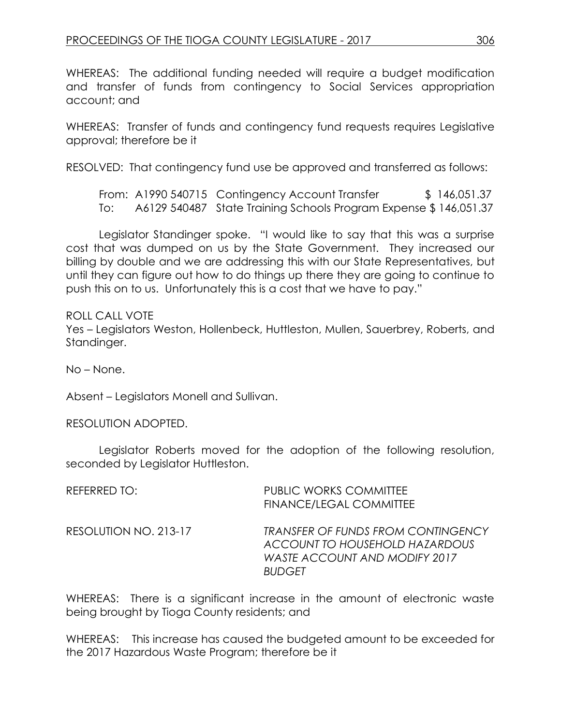WHEREAS: The additional funding needed will require a budget modification and transfer of funds from contingency to Social Services appropriation account; and

WHEREAS: Transfer of funds and contingency fund requests requires Legislative approval; therefore be it

RESOLVED: That contingency fund use be approved and transferred as follows:

From: A1990 540715 Contingency Account Transfer \$ 146,051.37 To: A6129 540487 State Training Schools Program Expense \$ 146,051.37

Legislator Standinger spoke. "I would like to say that this was a surprise cost that was dumped on us by the State Government. They increased our billing by double and we are addressing this with our State Representatives, but until they can figure out how to do things up there they are going to continue to push this on to us. Unfortunately this is a cost that we have to pay."

ROLL CALL VOTE Yes – Legislators Weston, Hollenbeck, Huttleston, Mullen, Sauerbrey, Roberts, and Standinger.

No – None.

Absent – Legislators Monell and Sullivan.

RESOLUTION ADOPTED.

Legislator Roberts moved for the adoption of the following resolution, seconded by Legislator Huttleston.

| REFERRED TO:          | <b>PUBLIC WORKS COMMITTEE</b><br>FINANCE/LEGAL COMMITTEE                                                                      |
|-----------------------|-------------------------------------------------------------------------------------------------------------------------------|
| RESOLUTION NO. 213-17 | <b>TRANSFER OF FUNDS FROM CONTINGENCY</b><br>ACCOUNT TO HOUSEHOLD HAZARDOUS<br>WASTE ACCOUNT AND MODIFY 2017<br><b>BUDGET</b> |

WHEREAS: There is a significant increase in the amount of electronic waste being brought by Tioga County residents; and

WHEREAS: This increase has caused the budgeted amount to be exceeded for the 2017 Hazardous Waste Program; therefore be it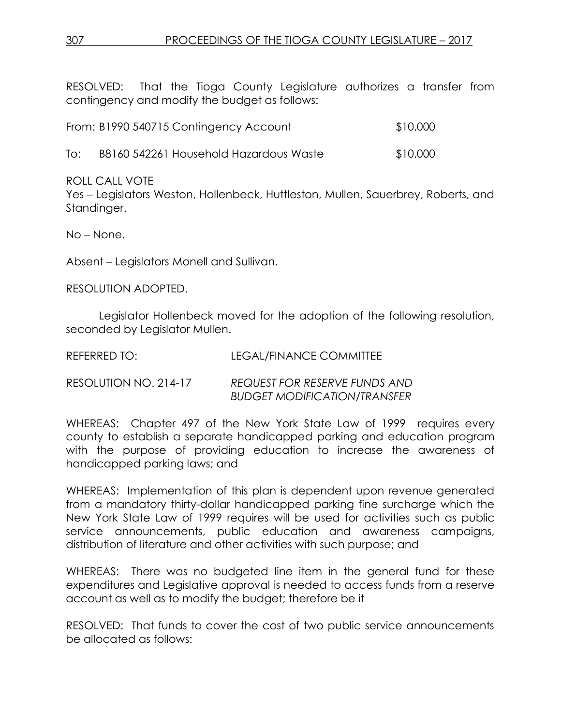RESOLVED: That the Tioga County Legislature authorizes a transfer from contingency and modify the budget as follows:

|  | From: B1990 540715 Contingency Account | \$10,000 |
|--|----------------------------------------|----------|
|  |                                        |          |

To: B8160 542261 Household Hazardous Waste \$10,000

ROLL CALL VOTE

Yes – Legislators Weston, Hollenbeck, Huttleston, Mullen, Sauerbrey, Roberts, and Standinger.

No – None.

Absent – Legislators Monell and Sullivan.

RESOLUTION ADOPTED.

Legislator Hollenbeck moved for the adoption of the following resolution, seconded by Legislator Mullen.

| REFERRED TO: | LEGAL/FINANCE COMMITTEE |
|--------------|-------------------------|
|              |                         |

RESOLUTION NO. 214-17 *REQUEST FOR RESERVE FUNDS AND BUDGET MODIFICATION/TRANSFER*

WHEREAS: Chapter 497 of the New York State Law of 1999 requires every county to establish a separate handicapped parking and education program with the purpose of providing education to increase the awareness of handicapped parking laws; and

WHEREAS: Implementation of this plan is dependent upon revenue generated from a mandatory thirty-dollar handicapped parking fine surcharge which the New York State Law of 1999 requires will be used for activities such as public service announcements, public education and awareness campaigns, distribution of literature and other activities with such purpose; and

WHEREAS: There was no budgeted line item in the general fund for these expenditures and Legislative approval is needed to access funds from a reserve account as well as to modify the budget; therefore be it

RESOLVED: That funds to cover the cost of two public service announcements be allocated as follows: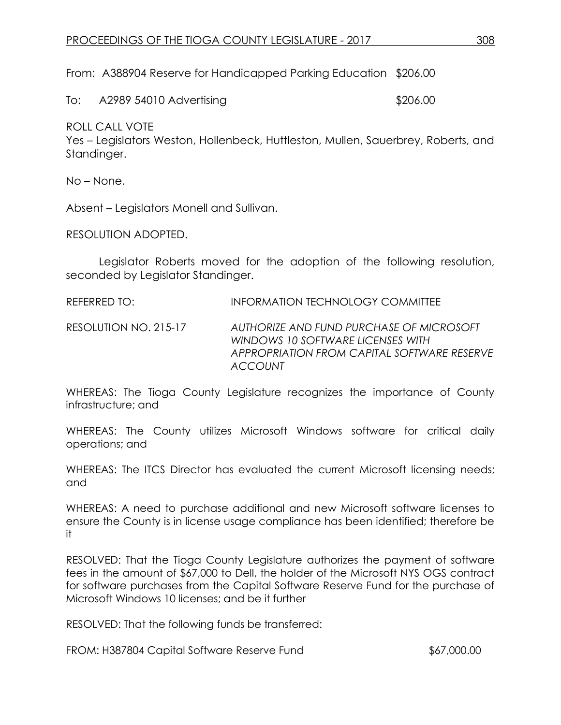From: A388904 Reserve for Handicapped Parking Education \$206.00

To: A2989 54010 Advertising \$206.00

ROLL CALL VOTE

Yes – Legislators Weston, Hollenbeck, Huttleston, Mullen, Sauerbrey, Roberts, and Standinger.

No – None.

Absent – Legislators Monell and Sullivan.

RESOLUTION ADOPTED.

Legislator Roberts moved for the adoption of the following resolution, seconded by Legislator Standinger.

REFERRED TO: INFORMATION TECHNOLOGY COMMITTEE

RESOLUTION NO. 215-17 *AUTHORIZE AND FUND PURCHASE OF MICROSOFT WINDOWS 10 SOFTWARE LICENSES WITH APPROPRIATION FROM CAPITAL SOFTWARE RESERVE ACCOUNT*

WHEREAS: The Tioga County Legislature recognizes the importance of County infrastructure; and

WHEREAS: The County utilizes Microsoft Windows software for critical daily operations; and

WHEREAS: The ITCS Director has evaluated the current Microsoft licensing needs; and

WHEREAS: A need to purchase additional and new Microsoft software licenses to ensure the County is in license usage compliance has been identified; therefore be it

RESOLVED: That the Tioga County Legislature authorizes the payment of software fees in the amount of \$67,000 to Dell, the holder of the Microsoft NYS OGS contract for software purchases from the Capital Software Reserve Fund for the purchase of Microsoft Windows 10 licenses; and be it further

RESOLVED: That the following funds be transferred:

FROM: H387804 Capital Software Reserve Fund  $$67,000.00$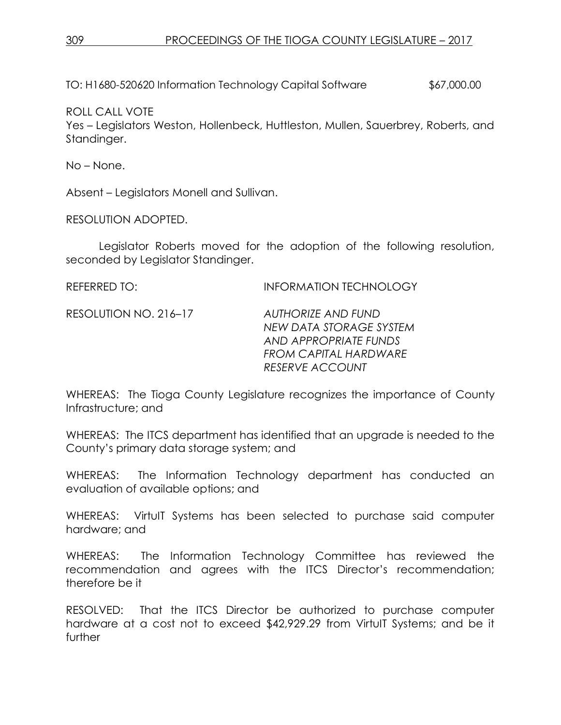TO: H1680-520620 Information Technology Capital Software \$67,000.00

ROLL CALL VOTE

Yes – Legislators Weston, Hollenbeck, Huttleston, Mullen, Sauerbrey, Roberts, and Standinger.

No – None.

Absent – Legislators Monell and Sullivan.

RESOLUTION ADOPTED.

Legislator Roberts moved for the adoption of the following resolution, seconded by Legislator Standinger.

| REFERRED TO:          | <b>INFORMATION TECHNOLOGY</b>                                          |
|-----------------------|------------------------------------------------------------------------|
| RESOLUTION NO. 216-17 | AUTHORIZE AND FUND<br>NEW DATA STORAGE SYSTEM<br>AND APPROPRIATE FUNDS |

WHEREAS: The Tioga County Legislature recognizes the importance of County Infrastructure; and

*FROM CAPITAL HARDWARE*

*RESERVE ACCOUNT*

WHEREAS: The ITCS department has identified that an upgrade is needed to the County's primary data storage system; and

WHEREAS: The Information Technology department has conducted an evaluation of available options; and

WHEREAS: VirtuIT Systems has been selected to purchase said computer hardware; and

WHEREAS: The Information Technology Committee has reviewed the recommendation and agrees with the ITCS Director's recommendation; therefore be it

RESOLVED: That the ITCS Director be authorized to purchase computer hardware at a cost not to exceed \$42,929.29 from VirtuIT Systems; and be it further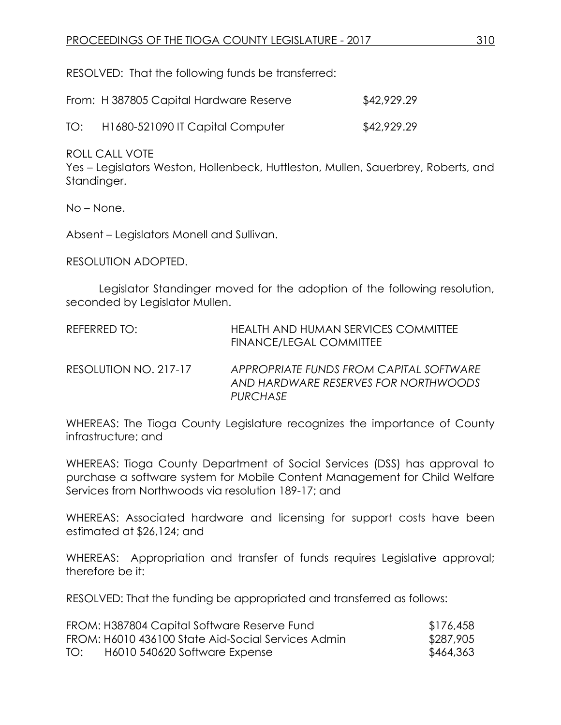RESOLVED: That the following funds be transferred:

|     | From: H 387805 Capital Hardware Reserve | \$42,929.29 |
|-----|-----------------------------------------|-------------|
| TO: | H1680-521090 IT Capital Computer        | \$42,929.29 |

ROLL CALL VOTE

Yes – Legislators Weston, Hollenbeck, Huttleston, Mullen, Sauerbrey, Roberts, and Standinger.

No – None.

Absent – Legislators Monell and Sullivan.

RESOLUTION ADOPTED.

Legislator Standinger moved for the adoption of the following resolution, seconded by Legislator Mullen.

| REFERRED TO:          | <b>HEALTH AND HUMAN SERVICES COMMITTEE</b><br>FINANCE/LEGAL COMMITTEE                       |
|-----------------------|---------------------------------------------------------------------------------------------|
| RESOLUTION NO. 217-17 | APPROPRIATE FUNDS FROM CAPITAL SOFTWARE<br>AND HARDWARE RESERVES FOR NORTHWOODS<br>PURCHASE |

WHEREAS: The Tioga County Legislature recognizes the importance of County infrastructure; and

WHEREAS: Tioga County Department of Social Services (DSS) has approval to purchase a software system for Mobile Content Management for Child Welfare Services from Northwoods via resolution 189-17; and

WHEREAS: Associated hardware and licensing for support costs have been estimated at \$26,124; and

WHEREAS: Appropriation and transfer of funds requires Legislative approval; therefore be it:

RESOLVED: That the funding be appropriated and transferred as follows:

|     | FROM: H387804 Capital Software Reserve Fund        | \$176,458 |
|-----|----------------------------------------------------|-----------|
|     | FROM: H6010 436100 State Aid-Social Services Admin | \$287,905 |
| TO: | H6010 540620 Software Expense                      | \$464,363 |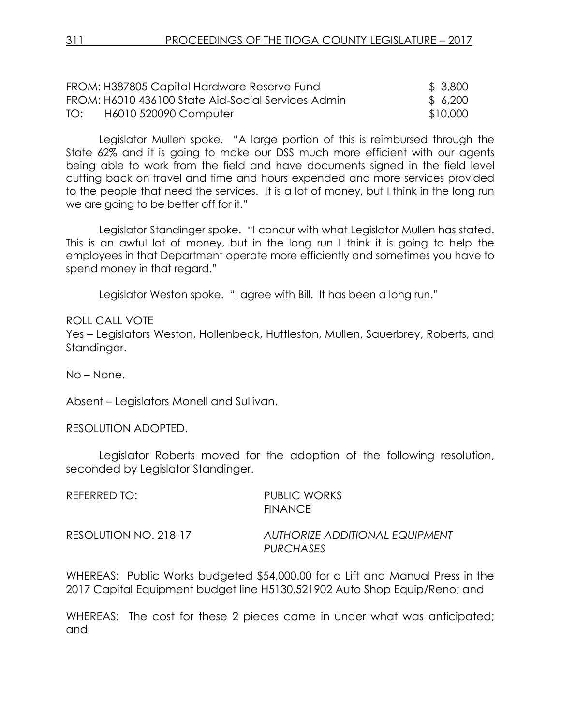|     | FROM: H387805 Capital Hardware Reserve Fund        | \$ 3,800 |
|-----|----------------------------------------------------|----------|
|     | FROM: H6010 436100 State Aid-Social Services Admin | \$6,200  |
| TO: | H6010 520090 Computer                              | \$10,000 |

Legislator Mullen spoke. "A large portion of this is reimbursed through the State 62% and it is going to make our DSS much more efficient with our agents being able to work from the field and have documents signed in the field level cutting back on travel and time and hours expended and more services provided to the people that need the services. It is a lot of money, but I think in the long run we are going to be better off for it."

Legislator Standinger spoke. "I concur with what Legislator Mullen has stated. This is an awful lot of money, but in the long run I think it is going to help the employees in that Department operate more efficiently and sometimes you have to spend money in that regard."

Legislator Weston spoke. "I agree with Bill. It has been a long run."

ROLL CALL VOTE

Yes – Legislators Weston, Hollenbeck, Huttleston, Mullen, Sauerbrey, Roberts, and Standinger.

No – None.

Absent – Legislators Monell and Sullivan.

RESOLUTION ADOPTED.

Legislator Roberts moved for the adoption of the following resolution, seconded by Legislator Standinger.

| REFERRED TO:          | PUBLIC WORKS<br><b>FINANCE</b>              |
|-----------------------|---------------------------------------------|
| RESOLUTION NO. 218-17 | AUTHORIZE ADDITIONAL EQUIPMENT<br>PURCHASES |

WHEREAS: Public Works budgeted \$54,000.00 for a Lift and Manual Press in the 2017 Capital Equipment budget line H5130.521902 Auto Shop Equip/Reno; and

WHEREAS: The cost for these 2 pieces came in under what was anticipated; and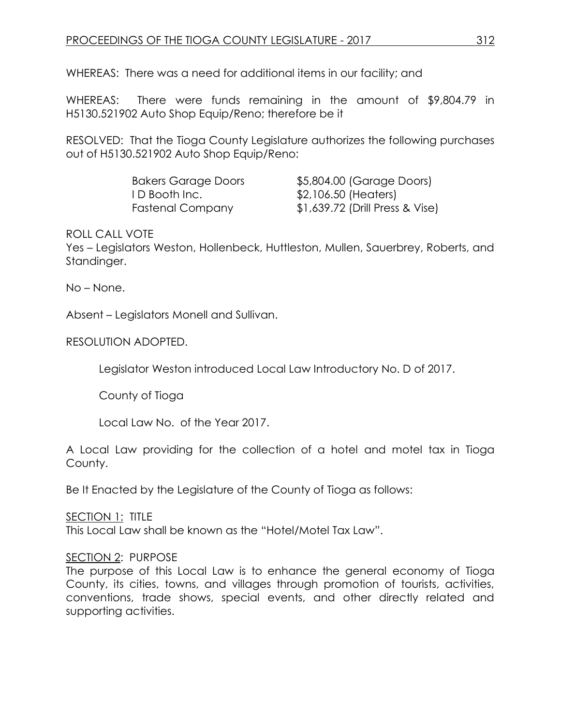WHEREAS: There was a need for additional items in our facility; and

WHEREAS: There were funds remaining in the amount of \$9,804.79 in H5130.521902 Auto Shop Equip/Reno; therefore be it

RESOLVED: That the Tioga County Legislature authorizes the following purchases out of H5130.521902 Auto Shop Equip/Reno:

| <b>Bakers Garage Doors</b> | \$5,804.00 (Garage Doors)       |
|----------------------------|---------------------------------|
| ID Booth Inc.              | \$2,106.50 (Heaters)            |
| <b>Fastenal Company</b>    | \$1,639.72 (Drill Press & Vise) |

ROLL CALL VOTE

Yes – Legislators Weston, Hollenbeck, Huttleston, Mullen, Sauerbrey, Roberts, and Standinger.

No – None.

Absent – Legislators Monell and Sullivan.

#### RESOLUTION ADOPTED.

Legislator Weston introduced Local Law Introductory No. D of 2017.

County of Tioga

Local Law No. of the Year 2017.

A Local Law providing for the collection of a hotel and motel tax in Tioga County.

Be It Enacted by the Legislature of the County of Tioga as follows:

SECTION 1: TITLE

This Local Law shall be known as the "Hotel/Motel Tax Law".

## SECTION 2: PURPOSE

The purpose of this Local Law is to enhance the general economy of Tioga County, its cities, towns, and villages through promotion of tourists, activities, conventions, trade shows, special events, and other directly related and supporting activities.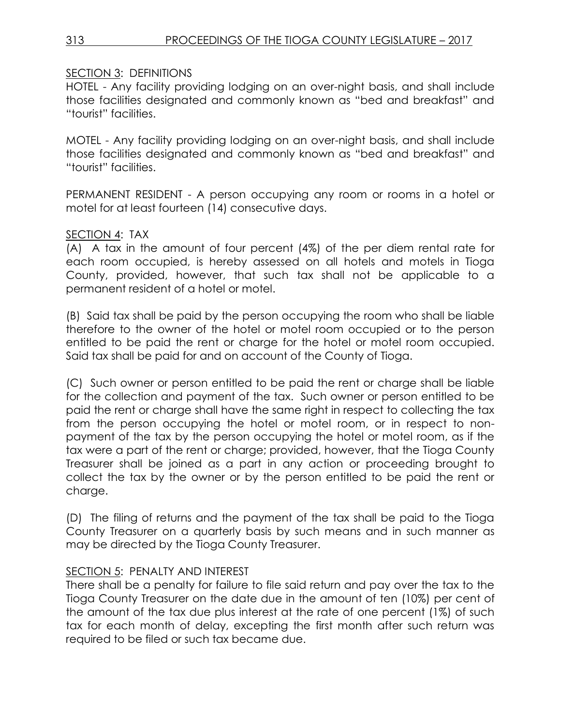# SECTION 3: DEFINITIONS

HOTEL - Any facility providing lodging on an over-night basis, and shall include those facilities designated and commonly known as "bed and breakfast" and "tourist" facilities.

MOTEL - Any facility providing lodging on an over-night basis, and shall include those facilities designated and commonly known as "bed and breakfast" and "tourist" facilities.

PERMANENT RESIDENT - A person occupying any room or rooms in a hotel or motel for at least fourteen (14) consecutive days.

## SECTION 4: TAX

(A) A tax in the amount of four percent (4%) of the per diem rental rate for each room occupied, is hereby assessed on all hotels and motels in Tioga County, provided, however, that such tax shall not be applicable to a permanent resident of a hotel or motel.

(B) Said tax shall be paid by the person occupying the room who shall be liable therefore to the owner of the hotel or motel room occupied or to the person entitled to be paid the rent or charge for the hotel or motel room occupied. Said tax shall be paid for and on account of the County of Tioga.

(C) Such owner or person entitled to be paid the rent or charge shall be liable for the collection and payment of the tax. Such owner or person entitled to be paid the rent or charge shall have the same right in respect to collecting the tax from the person occupying the hotel or motel room, or in respect to nonpayment of the tax by the person occupying the hotel or motel room, as if the tax were a part of the rent or charge; provided, however, that the Tioga County Treasurer shall be joined as a part in any action or proceeding brought to collect the tax by the owner or by the person entitled to be paid the rent or charge.

(D) The filing of returns and the payment of the tax shall be paid to the Tioga County Treasurer on a quarterly basis by such means and in such manner as may be directed by the Tioga County Treasurer.

# SECTION 5: PENALTY AND INTEREST

There shall be a penalty for failure to file said return and pay over the tax to the Tioga County Treasurer on the date due in the amount of ten (10%) per cent of the amount of the tax due plus interest at the rate of one percent (1%) of such tax for each month of delay, excepting the first month after such return was required to be filed or such tax became due.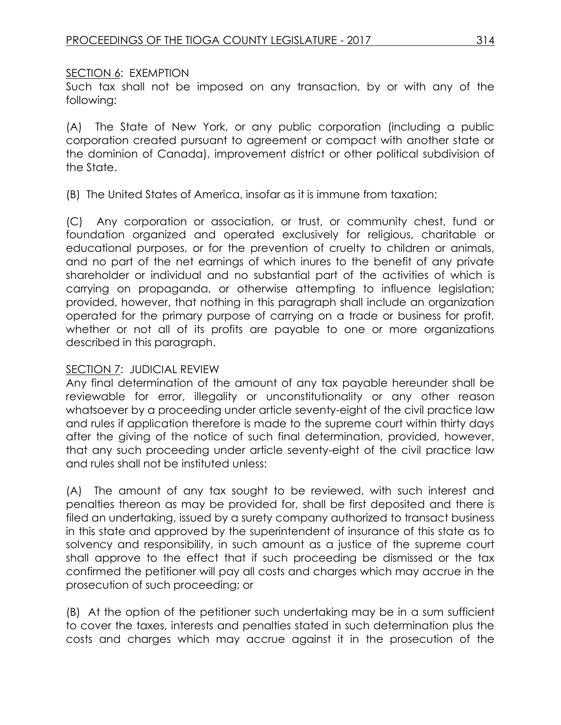## SECTION 6: EXEMPTION

Such tax shall not be imposed on any transaction, by or with any of the following:

(A) The State of New York, or any public corporation (including a public corporation created pursuant to agreement or compact with another state or the dominion of Canada), improvement district or other political subdivision of the State.

(B) The United States of America, insofar as it is immune from taxation;

(C) Any corporation or association, or trust, or community chest, fund or foundation organized and operated exclusively for religious, charitable or educational purposes, or for the prevention of cruelty to children or animals, and no part of the net earnings of which inures to the benefit of any private shareholder or individual and no substantial part of the activities of which is carrying on propaganda, or otherwise attempting to influence legislation; provided, however, that nothing in this paragraph shall include an organization operated for the primary purpose of carrying on a trade or business for profit, whether or not all of its profits are payable to one or more organizations described in this paragraph.

## SECTION 7: JUDICIAL REVIEW

Any final determination of the amount of any tax payable hereunder shall be reviewable for error, illegality or unconstitutionality or any other reason whatsoever by a proceeding under article seventy-eight of the civil practice law and rules if application therefore is made to the supreme court within thirty days after the giving of the notice of such final determination, provided, however, that any such proceeding under article seventy-eight of the civil practice law and rules shall not be instituted unless:

(A) The amount of any tax sought to be reviewed, with such interest and penalties thereon as may be provided for, shall be first deposited and there is filed an undertaking, issued by a surety company authorized to transact business in this state and approved by the superintendent of insurance of this state as to solvency and responsibility, in such amount as a justice of the supreme court shall approve to the effect that if such proceeding be dismissed or the tax confirmed the petitioner will pay all costs and charges which may accrue in the prosecution of such proceeding; or

(B) At the option of the petitioner such undertaking may be in a sum sufficient to cover the taxes, interests and penalties stated in such determination plus the costs and charges which may accrue against it in the prosecution of the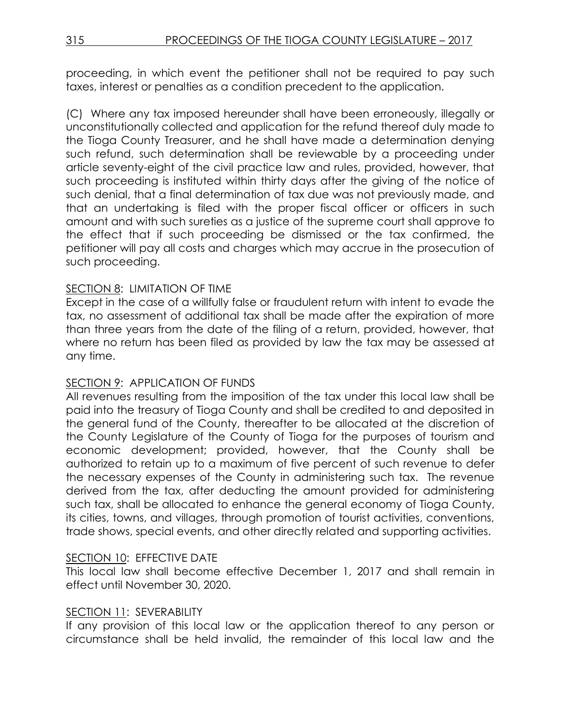proceeding, in which event the petitioner shall not be required to pay such taxes, interest or penalties as a condition precedent to the application.

(C) Where any tax imposed hereunder shall have been erroneously, illegally or unconstitutionally collected and application for the refund thereof duly made to the Tioga County Treasurer, and he shall have made a determination denying such refund, such determination shall be reviewable by a proceeding under article seventy-eight of the civil practice law and rules, provided, however, that such proceeding is instituted within thirty days after the giving of the notice of such denial, that a final determination of tax due was not previously made, and that an undertaking is filed with the proper fiscal officer or officers in such amount and with such sureties as a justice of the supreme court shall approve to the effect that if such proceeding be dismissed or the tax confirmed, the petitioner will pay all costs and charges which may accrue in the prosecution of such proceeding.

# SECTION 8: LIMITATION OF TIME

Except in the case of a willfully false or fraudulent return with intent to evade the tax, no assessment of additional tax shall be made after the expiration of more than three years from the date of the filing of a return, provided, however, that where no return has been filed as provided by law the tax may be assessed at any time.

## SECTION 9: APPLICATION OF FUNDS

All revenues resulting from the imposition of the tax under this local law shall be paid into the treasury of Tioga County and shall be credited to and deposited in the general fund of the County, thereafter to be allocated at the discretion of the County Legislature of the County of Tioga for the purposes of tourism and economic development; provided, however, that the County shall be authorized to retain up to a maximum of five percent of such revenue to defer the necessary expenses of the County in administering such tax. The revenue derived from the tax, after deducting the amount provided for administering such tax, shall be allocated to enhance the general economy of Tioga County, its cities, towns, and villages, through promotion of tourist activities, conventions, trade shows, special events, and other directly related and supporting activities.

## SECTION 10: EFFECTIVE DATE

This local law shall become effective December 1, 2017 and shall remain in effect until November 30, 2020.

## SECTION 11: SEVERABILITY

If any provision of this local law or the application thereof to any person or circumstance shall be held invalid, the remainder of this local law and the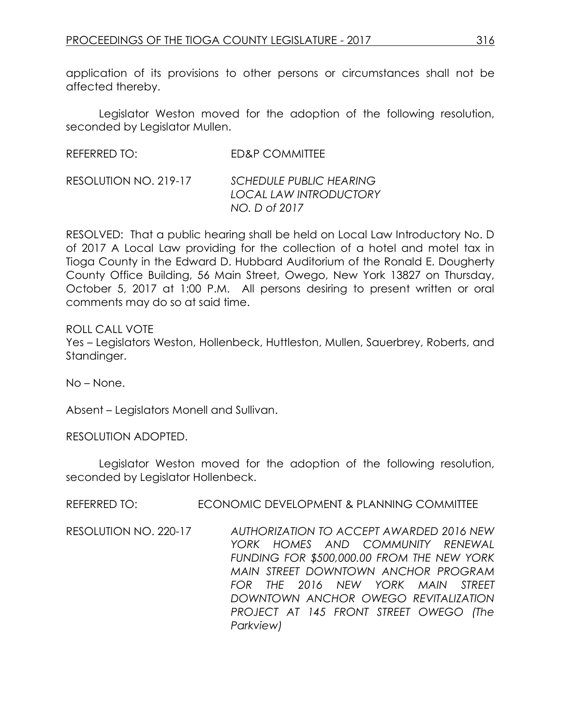application of its provisions to other persons or circumstances shall not be affected thereby.

Legislator Weston moved for the adoption of the following resolution, seconded by Legislator Mullen.

| REFERRED TO: | ED&P COMMITTEE |
|--------------|----------------|
|              |                |

```
RESOLUTION NO. 219-17 SCHEDULE PUBLIC HEARING
            LOCAL LAW INTRODUCTORY
            NO. D of 2017
```
RESOLVED: That a public hearing shall be held on Local Law Introductory No. D of 2017 A Local Law providing for the collection of a hotel and motel tax in Tioga County in the Edward D. Hubbard Auditorium of the Ronald E. Dougherty County Office Building, 56 Main Street, Owego, New York 13827 on Thursday, October 5, 2017 at 1:00 P.M. All persons desiring to present written or oral comments may do so at said time.

ROLL CALL VOTE Yes – Legislators Weston, Hollenbeck, Huttleston, Mullen, Sauerbrey, Roberts, and Standinger.

No – None.

Absent – Legislators Monell and Sullivan.

RESOLUTION ADOPTED.

Legislator Weston moved for the adoption of the following resolution, seconded by Legislator Hollenbeck.

REFERRED TO: ECONOMIC DEVELOPMENT & PLANNING COMMITTEE

RESOLUTION NO. 220-17 *AUTHORIZATION TO ACCEPT AWARDED 2016 NEW YORK HOMES AND COMMUNITY RENEWAL FUNDING FOR \$500,000.00 FROM THE NEW YORK MAIN STREET DOWNTOWN ANCHOR PROGRAM FOR THE 2016 NEW YORK MAIN STREET DOWNTOWN ANCHOR OWEGO REVITALIZATION PROJECT AT 145 FRONT STREET OWEGO (The Parkview)*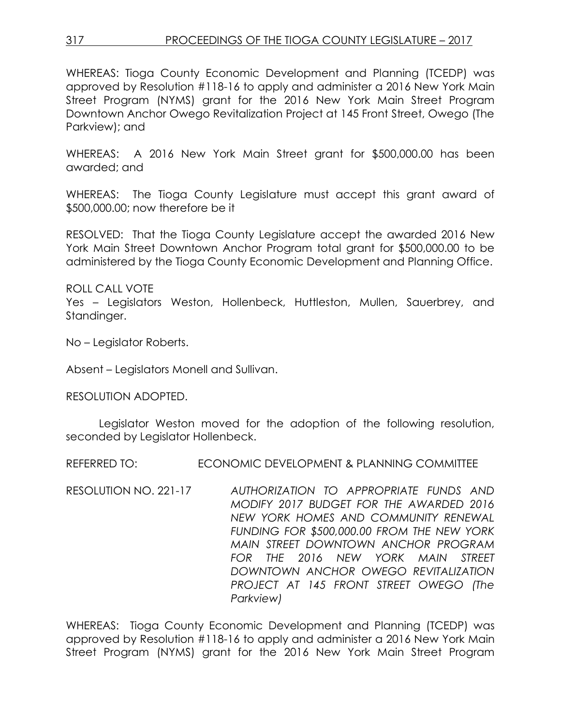# 317 PROCEEDINGS OF THE TIOGA COUNTY LEGISLATURE – 2017

WHEREAS: Tioga County Economic Development and Planning (TCEDP) was approved by Resolution #118-16 to apply and administer a 2016 New York Main Street Program (NYMS) grant for the 2016 New York Main Street Program Downtown Anchor Owego Revitalization Project at 145 Front Street, Owego (The Parkview); and

WHEREAS: A 2016 New York Main Street grant for \$500,000.00 has been awarded; and

WHEREAS: The Tioga County Legislature must accept this grant award of \$500,000.00; now therefore be it

RESOLVED: That the Tioga County Legislature accept the awarded 2016 New York Main Street Downtown Anchor Program total grant for \$500,000.00 to be administered by the Tioga County Economic Development and Planning Office.

ROLL CALL VOTE

Yes – Legislators Weston, Hollenbeck, Huttleston, Mullen, Sauerbrey, and Standinger.

No – Legislator Roberts.

Absent – Legislators Monell and Sullivan.

RESOLUTION ADOPTED.

Legislator Weston moved for the adoption of the following resolution, seconded by Legislator Hollenbeck.

REFERRED TO: ECONOMIC DEVELOPMENT & PLANNING COMMITTEE

RESOLUTION NO. 221-17 *AUTHORIZATION TO APPROPRIATE FUNDS AND MODIFY 2017 BUDGET FOR THE AWARDED 2016 NEW YORK HOMES AND COMMUNITY RENEWAL FUNDING FOR \$500,000.00 FROM THE NEW YORK MAIN STREET DOWNTOWN ANCHOR PROGRAM FOR THE 2016 NEW YORK MAIN STREET DOWNTOWN ANCHOR OWEGO REVITALIZATION PROJECT AT 145 FRONT STREET OWEGO (The Parkview)*

WHEREAS: Tioga County Economic Development and Planning (TCEDP) was approved by Resolution #118-16 to apply and administer a 2016 New York Main Street Program (NYMS) grant for the 2016 New York Main Street Program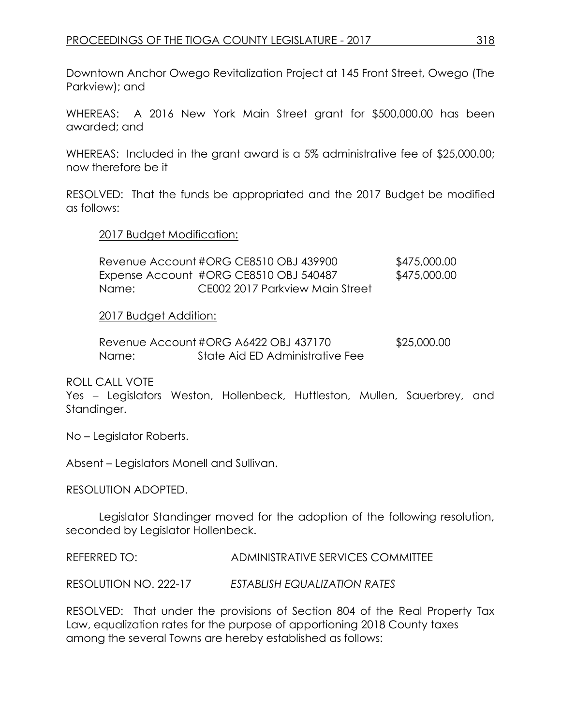Downtown Anchor Owego Revitalization Project at 145 Front Street, Owego (The Parkview); and

WHEREAS: A 2016 New York Main Street grant for \$500,000.00 has been awarded; and

WHEREAS: Included in the grant award is a 5% administrative fee of \$25,000.00; now therefore be it

RESOLVED: That the funds be appropriated and the 2017 Budget be modified as follows:

#### 2017 Budget Modification:

|       | Revenue Account #ORG CE8510 OBJ 439900 | \$475,000.00 |
|-------|----------------------------------------|--------------|
|       | Expense Account #ORG CE8510 OBJ 540487 | \$475,000.00 |
| Name: | CE002 2017 Parkview Main Street        |              |

#### 2017 Budget Addition:

|       | Revenue Account#ORG A6422 OBJ 437170 | \$25,000.00 |
|-------|--------------------------------------|-------------|
| Name: | State Aid ED Administrative Fee      |             |

ROLL CALL VOTE

Yes – Legislators Weston, Hollenbeck, Huttleston, Mullen, Sauerbrey, and Standinger.

No – Legislator Roberts.

Absent – Legislators Monell and Sullivan.

RESOLUTION ADOPTED.

Legislator Standinger moved for the adoption of the following resolution, seconded by Legislator Hollenbeck.

REFERRED TO: ADMINISTRATIVE SERVICES COMMITTEE

RESOLUTION NO. 222-17 *ESTABLISH EQUALIZATION RATES*

RESOLVED: That under the provisions of Section 804 of the Real Property Tax Law, equalization rates for the purpose of apportioning 2018 County taxes among the several Towns are hereby established as follows: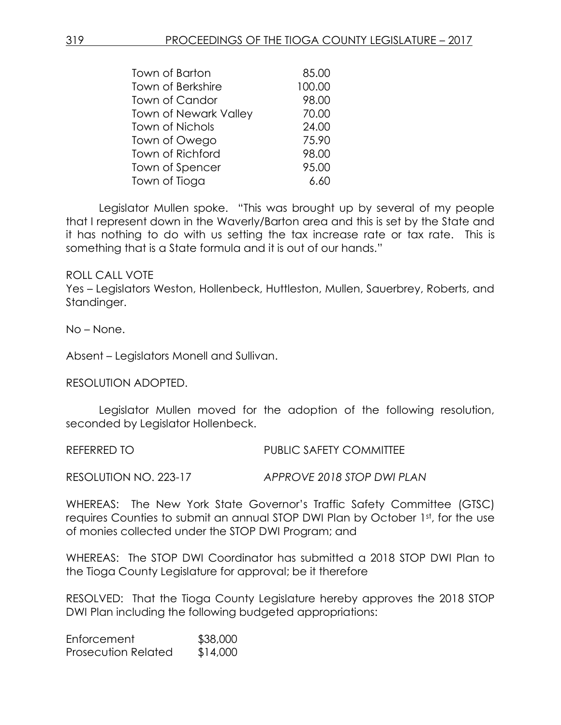| Town of Barton               | 85.00  |
|------------------------------|--------|
| <b>Town of Berkshire</b>     | 100.00 |
| Town of Candor               | 98.00  |
| <b>Town of Newark Valley</b> | 70.00  |
| <b>Town of Nichols</b>       | 24.00  |
| Town of Owego                | 75.90  |
| Town of Richford             | 98.00  |
| Town of Spencer              | 95.00  |
| Town of Tioga                | 6.60   |

Legislator Mullen spoke. "This was brought up by several of my people that I represent down in the Waverly/Barton area and this is set by the State and it has nothing to do with us setting the tax increase rate or tax rate. This is something that is a State formula and it is out of our hands."

#### ROLL CALL VOTE

Yes – Legislators Weston, Hollenbeck, Huttleston, Mullen, Sauerbrey, Roberts, and Standinger.

No – None.

Absent – Legislators Monell and Sullivan.

RESOLUTION ADOPTED.

Legislator Mullen moved for the adoption of the following resolution, seconded by Legislator Hollenbeck.

REFERRED TO **PUBLIC SAFETY COMMITTEE** 

RESOLUTION NO. 223-17 *APPROVE 2018 STOP DWI PLAN*

WHEREAS: The New York State Governor's Traffic Safety Committee (GTSC) requires Counties to submit an annual STOP DWI Plan by October 1st, for the use of monies collected under the STOP DWI Program; and

WHEREAS: The STOP DWI Coordinator has submitted a 2018 STOP DWI Plan to the Tioga County Legislature for approval; be it therefore

RESOLVED: That the Tioga County Legislature hereby approves the 2018 STOP DWI Plan including the following budgeted appropriations:

Enforcement \$38,000 Prosecution Related \$14,000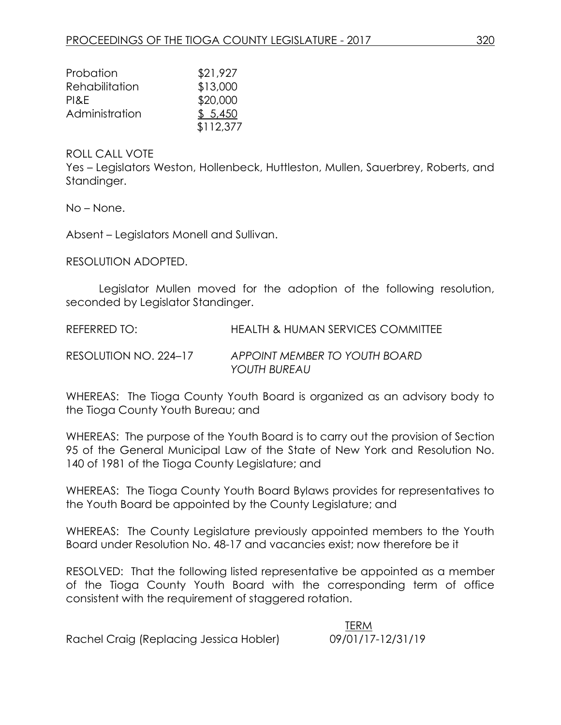| Probation      | \$21,927  |
|----------------|-----------|
| Rehabilitation | \$13,000  |
| PI&E           | \$20,000  |
| Administration | \$5,450   |
|                | \$112,377 |

#### ROLL CALL VOTE

Yes – Legislators Weston, Hollenbeck, Huttleston, Mullen, Sauerbrey, Roberts, and Standinger.

No – None.

Absent – Legislators Monell and Sullivan.

RESOLUTION ADOPTED.

Legislator Mullen moved for the adoption of the following resolution, seconded by Legislator Standinger.

REFERRED TO: HEALTH & HUMAN SERVICES COMMITTEE

RESOLUTION NO. 224–17 *APPOINT MEMBER TO YOUTH BOARD YOUTH BUREAU*

WHEREAS: The Tioga County Youth Board is organized as an advisory body to the Tioga County Youth Bureau; and

WHEREAS: The purpose of the Youth Board is to carry out the provision of Section 95 of the General Municipal Law of the State of New York and Resolution No. 140 of 1981 of the Tioga County Legislature; and

WHEREAS: The Tioga County Youth Board Bylaws provides for representatives to the Youth Board be appointed by the County Legislature; and

WHEREAS: The County Legislature previously appointed members to the Youth Board under Resolution No. 48-17 and vacancies exist; now therefore be it

RESOLVED: That the following listed representative be appointed as a member of the Tioga County Youth Board with the corresponding term of office consistent with the requirement of staggered rotation.

 TERM Rachel Craig (Replacing Jessica Hobler) 09/01/17-12/31/19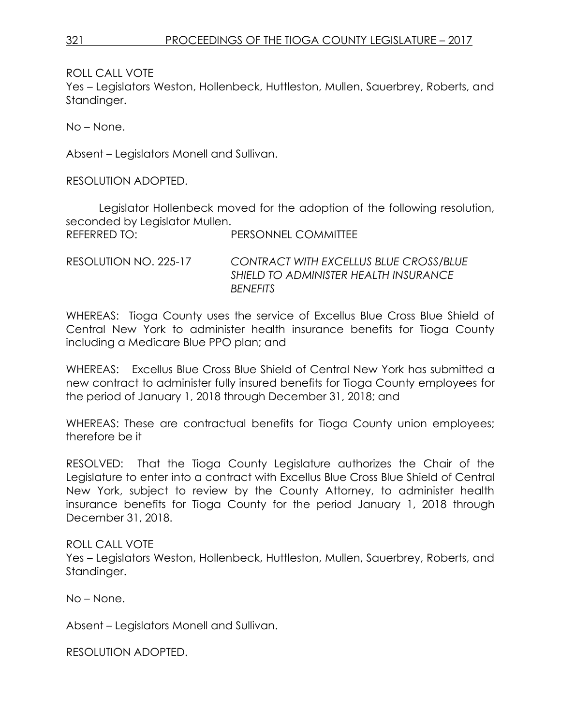ROLL CALL VOTE

Yes – Legislators Weston, Hollenbeck, Huttleston, Mullen, Sauerbrey, Roberts, and Standinger.

No – None.

Absent – Legislators Monell and Sullivan.

RESOLUTION ADOPTED.

Legislator Hollenbeck moved for the adoption of the following resolution, seconded by Legislator Mullen. REFERRED TO: PERSONNEL COMMITTEE

RESOLUTION NO. 225-17 *CONTRACT WITH EXCELLUS BLUE CROSS/BLUE SHIELD TO ADMINISTER HEALTH INSURANCE BENEFITS*

WHEREAS: Tioga County uses the service of Excellus Blue Cross Blue Shield of Central New York to administer health insurance benefits for Tioga County including a Medicare Blue PPO plan; and

WHEREAS: Excellus Blue Cross Blue Shield of Central New York has submitted a new contract to administer fully insured benefits for Tioga County employees for the period of January 1, 2018 through December 31, 2018; and

WHEREAS: These are contractual benefits for Tioga County union employees; therefore be it

RESOLVED: That the Tioga County Legislature authorizes the Chair of the Legislature to enter into a contract with Excellus Blue Cross Blue Shield of Central New York, subject to review by the County Attorney, to administer health insurance benefits for Tioga County for the period January 1, 2018 through December 31, 2018.

ROLL CALL VOTE

Yes – Legislators Weston, Hollenbeck, Huttleston, Mullen, Sauerbrey, Roberts, and Standinger.

No – None.

Absent – Legislators Monell and Sullivan.

RESOLUTION ADOPTED.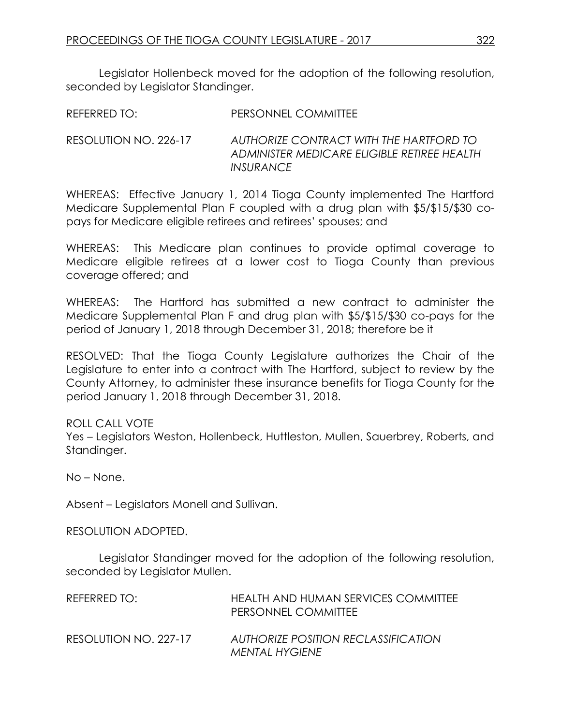Legislator Hollenbeck moved for the adoption of the following resolution, seconded by Legislator Standinger.

| REFERRED TO: | <b>PERSONNEL COMMITTEE</b> |
|--------------|----------------------------|
|              |                            |

RESOLUTION NO. 226-17 *AUTHORIZE CONTRACT WITH THE HARTFORD TO ADMINISTER MEDICARE ELIGIBLE RETIREE HEALTH INSURANCE*

WHEREAS: Effective January 1, 2014 Tioga County implemented The Hartford Medicare Supplemental Plan F coupled with a drug plan with \$5/\$15/\$30 copays for Medicare eligible retirees and retirees' spouses; and

WHEREAS: This Medicare plan continues to provide optimal coverage to Medicare eligible retirees at a lower cost to Tioga County than previous coverage offered; and

WHEREAS: The Hartford has submitted a new contract to administer the Medicare Supplemental Plan F and drug plan with \$5/\$15/\$30 co-pays for the period of January 1, 2018 through December 31, 2018; therefore be it

RESOLVED: That the Tioga County Legislature authorizes the Chair of the Legislature to enter into a contract with The Hartford, subject to review by the County Attorney, to administer these insurance benefits for Tioga County for the period January 1, 2018 through December 31, 2018.

## ROLL CALL VOTE

Yes – Legislators Weston, Hollenbeck, Huttleston, Mullen, Sauerbrey, Roberts, and Standinger.

No – None.

Absent – Legislators Monell and Sullivan.

RESOLUTION ADOPTED.

Legislator Standinger moved for the adoption of the following resolution, seconded by Legislator Mullen.

| REFERRED TO:          | HEALTH AND HUMAN SERVICES COMMITTEE<br>PERSONNEL COMMITTEE |
|-----------------------|------------------------------------------------------------|
| RESOLUTION NO. 227-17 | AUTHORIZE POSITION RECLASSIFICATION<br>MENTAL HYGIENE      |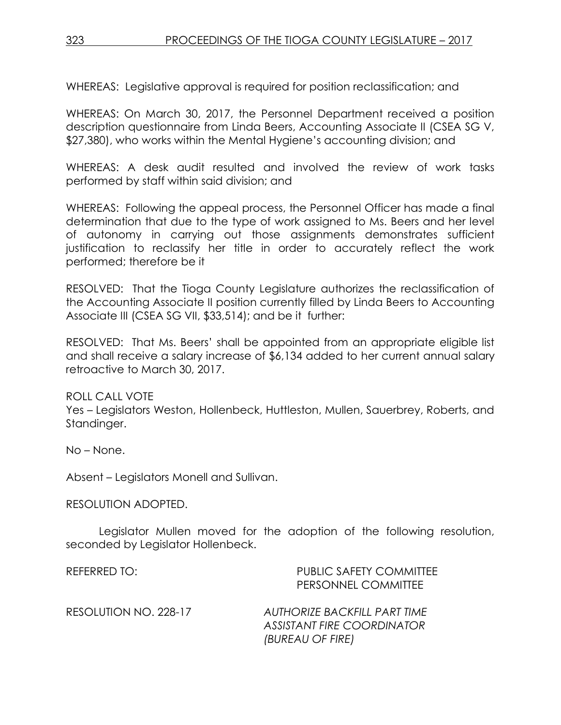WHEREAS: Legislative approval is required for position reclassification; and

WHEREAS: On March 30, 2017, the Personnel Department received a position description questionnaire from Linda Beers, Accounting Associate II (CSEA SG V, \$27,380), who works within the Mental Hygiene's accounting division; and

WHEREAS: A desk audit resulted and involved the review of work tasks performed by staff within said division; and

WHEREAS: Following the appeal process, the Personnel Officer has made a final determination that due to the type of work assigned to Ms. Beers and her level of autonomy in carrying out those assignments demonstrates sufficient justification to reclassify her title in order to accurately reflect the work performed; therefore be it

RESOLVED: That the Tioga County Legislature authorizes the reclassification of the Accounting Associate II position currently filled by Linda Beers to Accounting Associate III (CSEA SG VII, \$33,514); and be it further:

RESOLVED: That Ms. Beers' shall be appointed from an appropriate eligible list and shall receive a salary increase of \$6,134 added to her current annual salary retroactive to March 30, 2017.

## ROLL CALL VOTE

Yes – Legislators Weston, Hollenbeck, Huttleston, Mullen, Sauerbrey, Roberts, and Standinger.

No – None.

Absent – Legislators Monell and Sullivan.

#### RESOLUTION ADOPTED.

Legislator Mullen moved for the adoption of the following resolution, seconded by Legislator Hollenbeck.

| REFERRED TO:          | <b>PUBLIC SAFETY COMMITTEE</b><br>PERSONNEL COMMITTEE                          |
|-----------------------|--------------------------------------------------------------------------------|
| RESOLUTION NO. 228-17 | AUTHORIZE BACKFILL PART TIME<br>ASSISTANT FIRE COORDINATOR<br>(BUREAU OF FIRE) |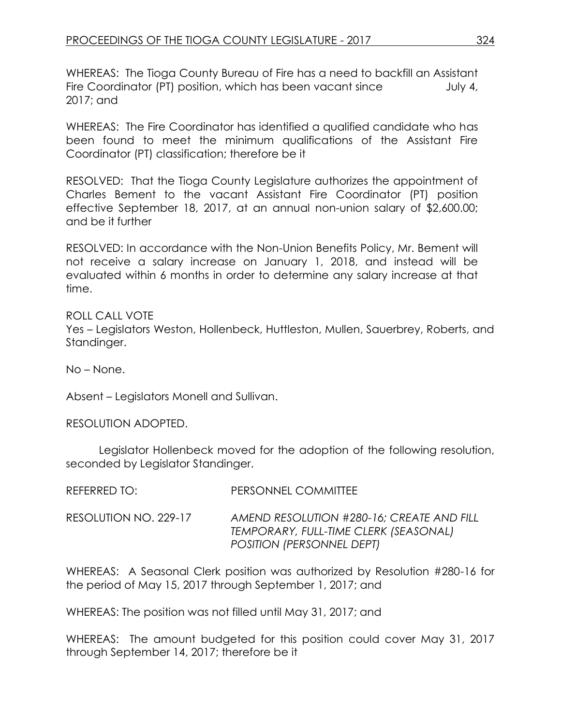WHEREAS: The Tioga County Bureau of Fire has a need to backfill an Assistant Fire Coordinator (PT) position, which has been vacant since July 4, 2017; and

WHEREAS: The Fire Coordinator has identified a qualified candidate who has been found to meet the minimum qualifications of the Assistant Fire Coordinator (PT) classification; therefore be it

RESOLVED: That the Tioga County Legislature authorizes the appointment of Charles Bement to the vacant Assistant Fire Coordinator (PT) position effective September 18, 2017, at an annual non-union salary of \$2,600.00; and be it further

RESOLVED: In accordance with the Non-Union Benefits Policy, Mr. Bement will not receive a salary increase on January 1, 2018, and instead will be evaluated within 6 months in order to determine any salary increase at that time.

ROLL CALL VOTE Yes – Legislators Weston, Hollenbeck, Huttleston, Mullen, Sauerbrey, Roberts, and Standinger.

No – None.

Absent – Legislators Monell and Sullivan.

RESOLUTION ADOPTED.

Legislator Hollenbeck moved for the adoption of the following resolution, seconded by Legislator Standinger.

| REFERRED TO:          | PERSONNEL COMMITTEE                                                                                             |
|-----------------------|-----------------------------------------------------------------------------------------------------------------|
| RESOLUTION NO. 229-17 | AMEND RESOLUTION #280-16; CREATE AND FILL<br>TEMPORARY, FULL-TIME CLERK (SEASONAL)<br>POSITION (PERSONNEL DEPT) |

WHEREAS: A Seasonal Clerk position was authorized by Resolution #280-16 for the period of May 15, 2017 through September 1, 2017; and

WHEREAS: The position was not filled until May 31, 2017; and

WHEREAS: The amount budgeted for this position could cover May 31, 2017 through September 14, 2017; therefore be it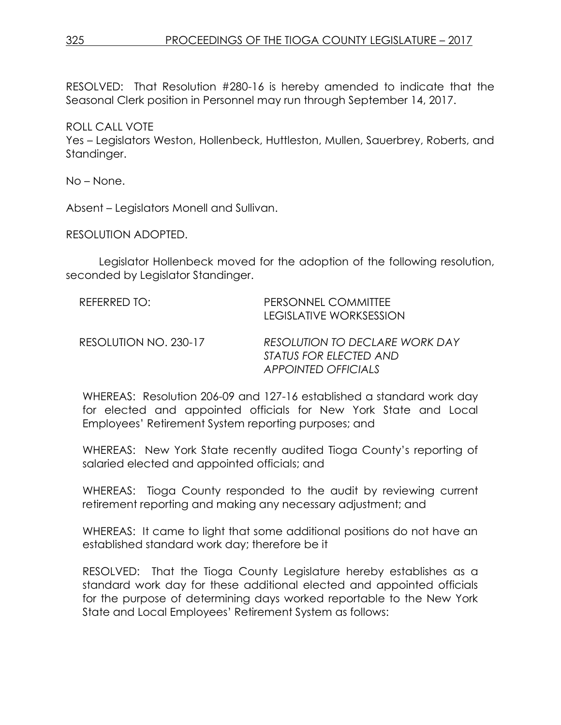RESOLVED: That Resolution #280-16 is hereby amended to indicate that the Seasonal Clerk position in Personnel may run through September 14, 2017.

ROLL CALL VOTE Yes – Legislators Weston, Hollenbeck, Huttleston, Mullen, Sauerbrey, Roberts, and Standinger.

No – None.

Absent – Legislators Monell and Sullivan.

RESOLUTION ADOPTED.

Legislator Hollenbeck moved for the adoption of the following resolution, seconded by Legislator Standinger.

| REFERRED TO:          | PERSONNEL COMMITTEE<br>LEGISLATIVE WORKSESSION                                         |
|-----------------------|----------------------------------------------------------------------------------------|
| RESOLUTION NO. 230-17 | RESOLUTION TO DECLARE WORK DAY<br>STATUS FOR ELECTED AND<br><b>APPOINTED OFFICIALS</b> |

WHEREAS: Resolution 206-09 and 127-16 established a standard work day for elected and appointed officials for New York State and Local Employees' Retirement System reporting purposes; and

WHEREAS: New York State recently audited Tioga County's reporting of salaried elected and appointed officials; and

WHEREAS: Tioga County responded to the audit by reviewing current retirement reporting and making any necessary adjustment; and

WHEREAS: It came to light that some additional positions do not have an established standard work day; therefore be it

RESOLVED: That the Tioga County Legislature hereby establishes as a standard work day for these additional elected and appointed officials for the purpose of determining days worked reportable to the New York State and Local Employees' Retirement System as follows: